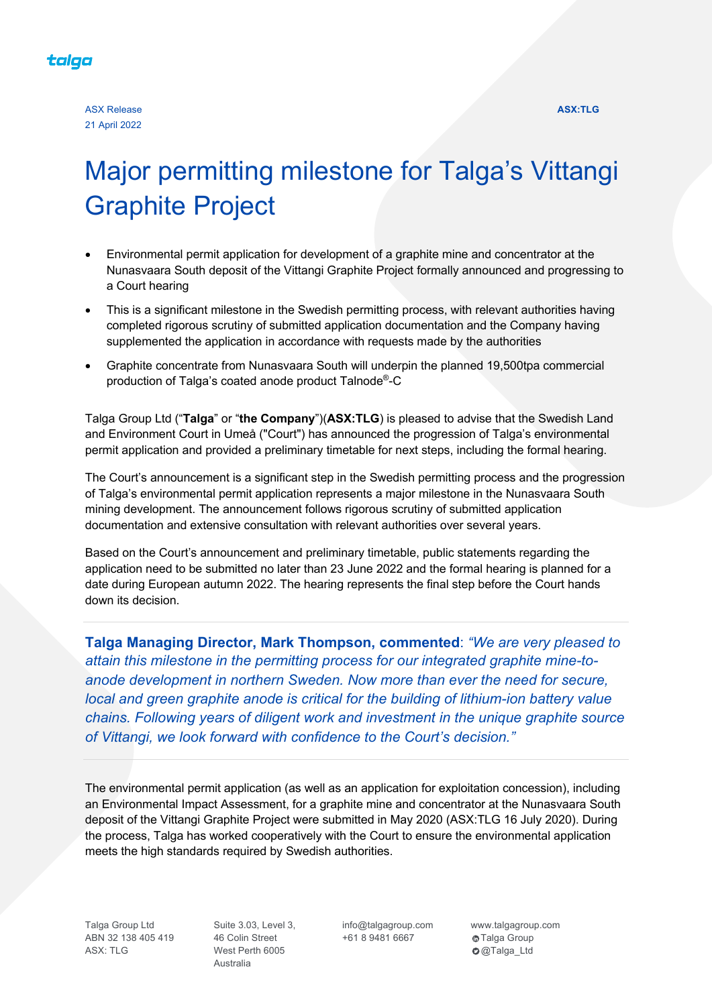

# Major permitting milestone for Talga's Vittangi Graphite Project

- Environmental permit application for development of a graphite mine and concentrator at the Nunasvaara South deposit of the Vittangi Graphite Project formally announced and progressing to a Court hearing
- This is a significant milestone in the Swedish permitting process, with relevant authorities having completed rigorous scrutiny of submitted application documentation and the Company having supplemented the application in accordance with requests made by the authorities
- Graphite concentrate from Nunasvaara South will underpin the planned 19,500tpa commercial production of Talga's coated anode product Talnode®-C

Talga Group Ltd ("**Talga**" or "**the Company**")(**ASX:TLG**) is pleased to advise that the Swedish Land and Environment Court in Umeå ("Court") has announced the progression of Talga's environmental permit application and provided a preliminary timetable for next steps, including the formal hearing.

The Court's announcement is a significant step in the Swedish permitting process and the progression of Talga's environmental permit application represents a major milestone in the Nunasvaara South mining development. The announcement follows rigorous scrutiny of submitted application documentation and extensive consultation with relevant authorities over several years.

Based on the Court's announcement and preliminary timetable, public statements regarding the application need to be submitted no later than 23 June 2022 and the formal hearing is planned for a date during European autumn 2022. The hearing represents the final step before the Court hands down its decision.

**Talga Managing Director, Mark Thompson, commented**: *"We are very pleased to attain this milestone in the permitting process for our integrated graphite mine-toanode development in northern Sweden. Now more than ever the need for secure, local and green graphite anode is critical for the building of lithium-ion battery value chains. Following years of diligent work and investment in the unique graphite source of Vittangi, we look forward with confidence to the Court's decision."*

The environmental permit application (as well as an application for exploitation concession), including an Environmental Impact Assessment, for a graphite mine and concentrator at the Nunasvaara South deposit of the Vittangi Graphite Project were submitted in May 2020 (ASX:TLG 16 July 2020). During the process, Talga has worked cooperatively with the Court to ensure the environmental application meets the high standards required by Swedish authorities.

Talga Group Ltd ABN 32 138 405 419 ASX: TLG

Suite 3.03, Level 3, 46 Colin Street West Perth 6005 Australia

info@talgagroup.com +61 8 9481 6667

www.talgagroup.com  $\bigcirc$ Talga Group **O**@Talga\_Ltd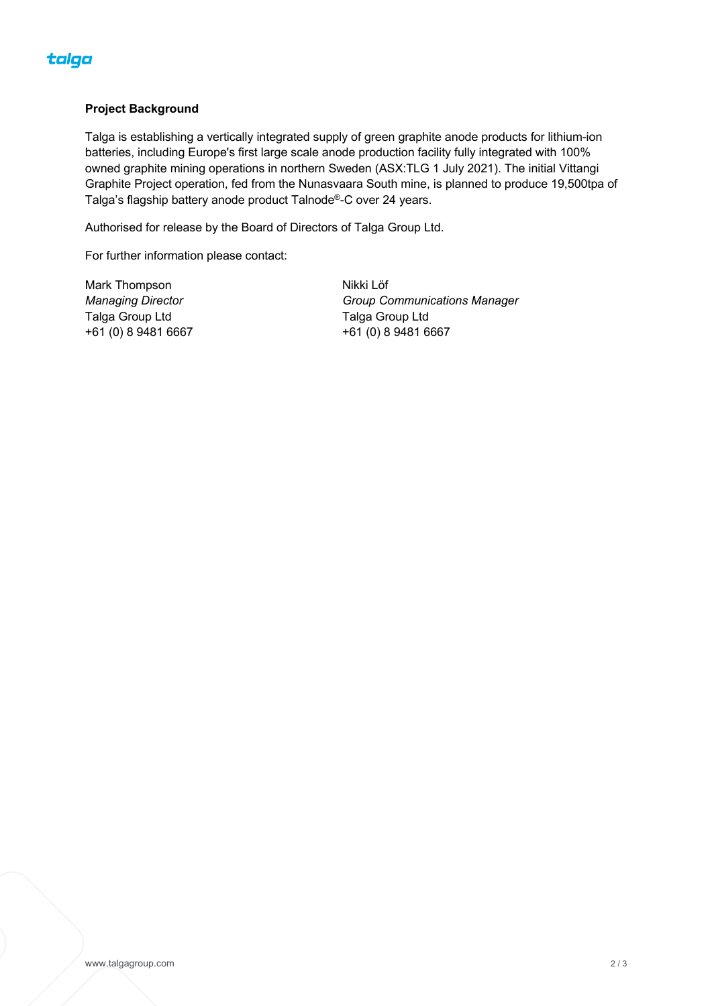

#### **Project Background**

Talga is establishing a vertically integrated supply of green graphite anode products for lithium-ion batteries, including Europe's first large scale anode production facility fully integrated with 100% owned graphite mining operations in northern Sweden (ASX:TLG 1 July 2021). The initial Vittangi Graphite Project operation, fed from the Nunasvaara South mine, is planned to produce 19,500tpa of Talga's flagship battery anode product Talnode®-C over 24 years.

Authorised for release by the Board of Directors of Talga Group Ltd.

For further information please contact:

Mark Thompson *Managing Director* Talga Group Ltd +61 (0) 8 9481 6667 Nikki Löf *Group Communications Manager* Talga Group Ltd +61 (0) 8 9481 6667